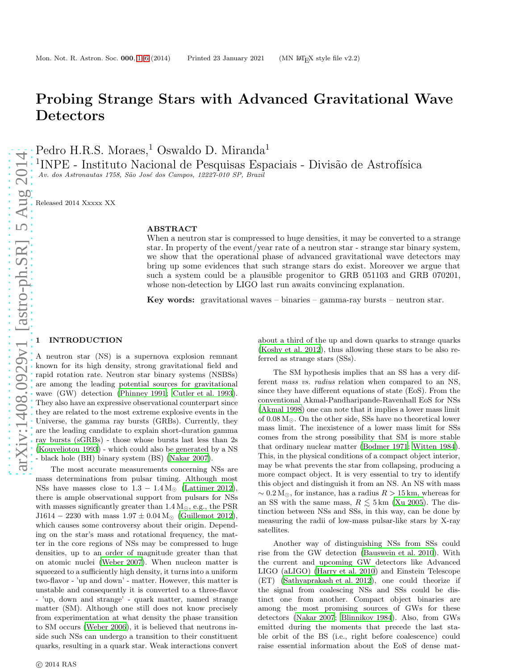# Probing Strange Stars with Advanced Gravitational Wave Detectors

Pedro H.R.S. Moraes,<sup>1</sup> Oswaldo D. Miranda<sup>1</sup>

 $1$ INPE - Instituto Nacional de Pesquisas Espaciais - Divisão de Astrofísica Av. dos Astronautas 1758, São José dos Campos, 12227-010 SP, Brazil

Released 2014 Xxxxx XX

#### ABSTRACT

When a neutron star is compressed to huge densities, it may be converted to a strange star. In property of the event/year rate of a neutron star - strange star binary system, we show that the operational phase of advanced gravitational wave detectors may bring up some evidences that such strange stars do exist. Moreover we argue that such a system could be a plausible progenitor to GRB 051103 and GRB 070201, whose non-detection by LIGO last run awaits convincing explanation.

Key words: gravitational waves – binaries – gamma-ray bursts – neutron star.

### <span id="page-0-0"></span>**INTRODUCTION**

A neutron star (NS) is a supernova explosion remnant known for its high density, strong gravitational field and rapid rotation rate. Neutron star binary systems (NSBSs) are among the leading potential sources for gravitational wave (GW) detection (Phinney 1991; Cutler et al. 1993). They also have an expressive observational counterpart since they are related to the most extreme explosive events in the Universe, the gamma ray bursts (GRBs). Currently, they are the leading candidate to explain short-duration gamma ray bursts (sGRBs) - those whose bursts last less than 2s (Kouveliotou 1993) - which could also be generated by a NS - black hole (BH) binary system (BS) (Nakar 2007).

The most accurate measurements concerning NSs are mass determinations from pulsar timing. Although most NSs have masses close to  $1.3 - 1.4 M_{\odot}$  (Lattimer 2012), there is ample observational support from pulsars for NSs with masses significantly greater than  $1.4 M_{\odot}$ , e.g., the PSR J1614 – 2230 with mass  $1.97 \pm 0.04$  M<sub>☉</sub> (Guillemot 2012), which causes some controversy about their origin. Depending on the star's mass and rotational frequency, the matter in the core regions of NSs may be compressed to huge densities, up to an order of magnitude greater than that on atomic nuclei (Weber 2007). When nucleon matter is squeezed to a sufficiently high density, it turns into a uniform two-flavor - 'up and down' - matter. However, this matter is unstable and consequently it is converted to a three-flavor - 'up, down and strange' - quark matter, named strange matter (SM). Although one still does not know precisely from experimentation at what density the phase transition to SM occurs (Weber 2006), it is believed that neutrons inside such NSs can undergo a transition to their constituent quarks, resulting in a quark star. Weak interactions convert about a third of the up and down quarks to strange quarks (Koshy et al. 2012), thus allowing these stars to be also referred as strange stars (SSs).

The SM hypothesis implies that an SS has a very different mass vs. radius relation when compared to an NS, since they have different equations of state (EoS). From the conventional Akmal-Pandharipande-Ravenhall EoS for NSs (Akmal 1998) one can note that it implies a lower mass limit of  $0.08 M_{\odot}$ . On the other side, SSs have no theoretical lower mass limit. The inexistence of a lower mass limit for SSs comes from the strong possibility that SM is more stable that ordinary nuclear matter (Bodmer 1971; Witten 1984). This, in the physical conditions of a compact object interior, may be what prevents the star from collapsing, producing a more compact object. It is very essential to try to identify this object and distinguish it from an NS. An NS with mass  $\sim 0.2 \text{ M}_{\odot}$ , for instance, has a radius  $R > 15 \text{ km}$ , whereas for an SS with the same mass,  $R \leq 5 \,\mathrm{km}$  (Xu 2005). The distinction between NSs and SSs, in this way, can be done by measuring the radii of low-mass pulsar-like stars by X-ray satellites.

Another way of distinguishing NSs from SSs could rise from the GW detection (Bauswein et al. 2010). With the current and upcoming GW detectors like Advanced LIGO (aLIGO) (Harry et al. 2010) and Einstein Telescope (ET) (Sathyaprakash et al. 2012), one could theorize if the signal from coalescing NSs and SSs could be distinct one from another. Compact object binaries are among the most promising sources of GWs for these detectors (Nakar 2007; Blinnikov 1984). Also, from GWs emitted during the moments that precede the last stable orbit of the BS (i.e., right before coalescence) could raise essential information about the EoS of dense mat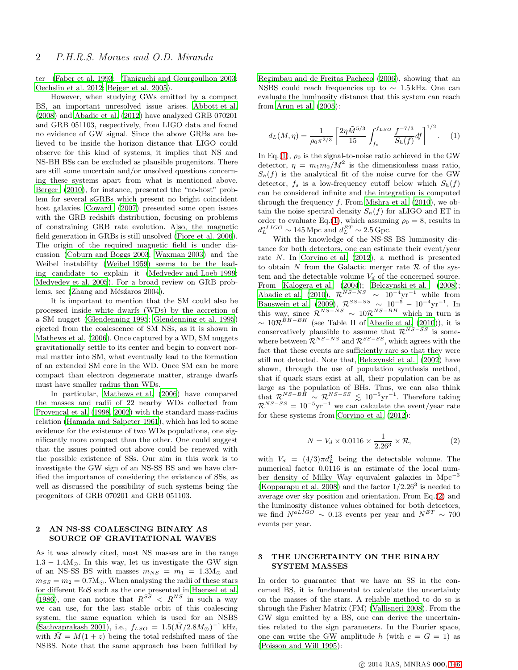ter (Faber et al. 1993; Taniguchi and Gourgoulhon 2003; Oechslin et al. 2012; Bejger et al. 2005).

However, when studying GWs emitted by a compact BS, an important unresolved issue arises. Abbott et al. (2008) and Abadie et al. (2012) have analyzed GRB 070201 and GRB 051103, respectively, from LIGO data and found no evidence of GW signal. Since the above GRBs are believed to be inside the horizon distance that LIGO could observe for this kind of systems, it implies that NS and NS-BH BSs can be excluded as plausible progenitors. There are still some uncertain and/or unsolved questions concerning these systems apart from what is mentioned above. Berger (2010), for instance, presented the "no-host" problem for several sGRBs which present no bright coincident host galaxies. Coward (2007) presented some open issues with the GRB redshift distribution, focusing on problems of constraining GRB rate evolution. Also, the magnetic field generation in GRBs is still unsolved (Fiore et al. 2006). The origin of the required magnetic field is under discussion (Coburn and Boggs 2003; Waxman 2003) and the Weibel instability (Weibel 1959) seems to be the leading candidate to explain it (Medvedev and Loeb 1999; Medvedev et al. 2005). For a broad review on GRB problems, see (Zhang and Mésźaros 2004).

It is important to mention that the SM could also be processed inside white dwarfs (WDs) by the accretion of a SM nugget (Glendenning 1995; Glendenning et al. 1995) ejected from the coalescence of SM NSs, as it is shown in Mathews et al. (2006). Once captured by a WD, SM nuggets gravitationally settle to its center and begin to convert normal matter into SM, what eventually lead to the formation of an extended SM core in the WD. Once SM can be more compact than electron degenerate matter, strange dwarfs must have smaller radius than WDs.

In particular, Mathews et al. (2006) have compared the masses and radii of 22 nearby WDs collected from Provencal et al. (1998, 2002) with the standard mass-radius relation (Hamada and Salpeter 1961), which has led to some evidence for the existence of two WDs populations, one significantly more compact than the other. One could suggest that the issues pointed out above could be renewed with the possible existence of SSs. Our aim in this work is to investigate the GW sign of an NS-SS BS and we have clarified the importance of considering the existence of SSs, as well as discussed the possibility of such systems being the progenitors of GRB 070201 and GRB 051103.

# 2 AN NS-SS COALESCING BINARY AS SOURCE OF GRAVITATIONAL WAVES

As it was already cited, most NS masses are in the range  $1.3 - 1.4 M_{\odot}$ . In this way, let us investigate the GW sign of an NS-SS BS with masses  $m_{NS} = m_1 = 1.3 M_{\odot}$  and  $m_{SS} = m_2 = 0.7 M_{\odot}$ . When analysing the radii of these stars for different EoS such as the one presented in Haensel et al. (1986), one can notice that  $R^{SS} < R^{NS}$  in such a way we can use, for the last stable orbit of this coalescing system, the same equation which is used for an NSBS (Sathyaprakash 2001), i.e.,  $f_{LSO} = 1.5(\tilde{M}/2.8M_{\odot})^{-1}$  kHz, with  $\tilde{M} = M(1+z)$  being the total redshifted mass of the NSBS. Note that the same approach has been fulfilled by Regimbau and de Freitas Pacheco (2006), showing that an NSBS could reach frequencies up to ∼ 1.5 kHz. One can evaluate the luminosity distance that this system can reach from Arun et al. (2005):

<span id="page-1-0"></span>
$$
d_L(M,\eta) = \frac{1}{\rho_0 \pi^{2/3}} \left[ \frac{2\eta \tilde{M}^{5/3}}{15} \int_{f_s}^{f_{LSO}} \frac{f^{-7/3}}{S_h(f)} df \right]^{1/2}.
$$
 (1)

In Eq.[\(1\)](#page-1-0),  $\rho_0$  is the signal-to-noise ratio achieved in the GW detector,  $\eta = m_1 m_2 / M^2$  is the dimensionless mass ratio,  $S_h(f)$  is the analytical fit of the noise curve for the GW detector,  $f_s$  is a low-frequency cutoff below which  $S_h(f)$ can be considered infinite and the integration is computed through the frequency  $f$ . From Mishra et al. (2010), we obtain the noise spectral density  $S_h(f)$  for aLIGO and ET in order to evaluate Eq.[\(1\)](#page-1-0), which assuming  $\rho_0 = 8$ , results in  $d_L^{aLIGO} \sim 145 \,\text{Mpc}$  and  $d_L^{ET} \sim 2.5 \,\text{Gpc}$ .

With the knowledge of the NS-SS BS luminosity distance for both detectors, one can estimate their event/year rate N. In Corvino et al. (2012), a method is presented to obtain N from the Galactic merger rate  $\mathcal R$  of the system and the detectable volume  $V_d$  of the concerned source. From Kalogera et al. (2004); Belczynski et al. (2008); Abadie et al. (2010),  $\mathcal{R}^{NS-NS}_{\substack{S\subseteq S\subseteq S}} \sim 10^{-4} \text{yr}^{-1}$  while from Bauswein et al.  $(2009)$ ,  $\mathcal{R}^{SS-SS} \sim 10^{-5} - 10^{-4} \text{yr}^{-1}$ . In this way, since  $\mathcal{R}^{NS-NS} \sim 10 \mathcal{R}^{NS-BH}$  which in turn is  $\sim 10 \mathcal{R}^{BH-BH}$  (see Table II of Abadie et al. (2010)), it is conservatively plausible to assume that  $\mathcal{R}^{NS-SS}$  is somewhere between  $\mathcal{R}^{NS-NS}$  and  $\mathcal{R}^{SS-SS}$ , which agrees with the fact that these events are sufficiently rare so that they were still not detected. Note that, Belczynski et al. (2002) have shown, through the use of population synthesis method, that if quark stars exist at all, their population can be as large as the population of BHs. Thus, we can also think that  $\mathcal{R}^{NS-BH} \sim \mathcal{R}^{NS-SS} \lesssim 10^{-5} \text{yr}^{-1}$ . Therefore taking  $\mathcal{R}^{NS-SS} = 10^{-5} \text{yr}^{-1}$  we can calculate the event/year rate for these systems from Corvino et al. (2012):

<span id="page-1-1"></span>
$$
N = V_d \times 0.0116 \times \frac{1}{2.26^3} \times \mathcal{R},\tag{2}
$$

with  $V_d = (4/3)\pi d_L^3$  being the detectable volume. The numerical factor 0.0116 is an estimate of the local number density of Milky Way equivalent galaxies in  $Mpc^{-3}$ (Kopparapu et al. 2008) and the factor  $1/2.26^3$  is needed to average over sky position and orientation. From Eq.[\(2\)](#page-1-1) and the luminosity distance values obtained for both detectors, we find  $N^{aLIGO} \sim 0.13$  events per year and  $N^{ET} \sim 700$ events per year.

# 3 THE UNCERTAINTY ON THE BINARY SYSTEM MASSES

In order to guarantee that we have an SS in the concerned BS, it is fundamental to calculate the uncertainty on the masses of the stars. A reliable method to do so is through the Fisher Matrix (FM) (Vallisneri 2008). From the GW sign emitted by a BS, one can derive the uncertainties related to the sign parameters. In the Fourier space, one can write the GW amplitude h (with  $c = G = 1$ ) as (Poisson and Will 1995):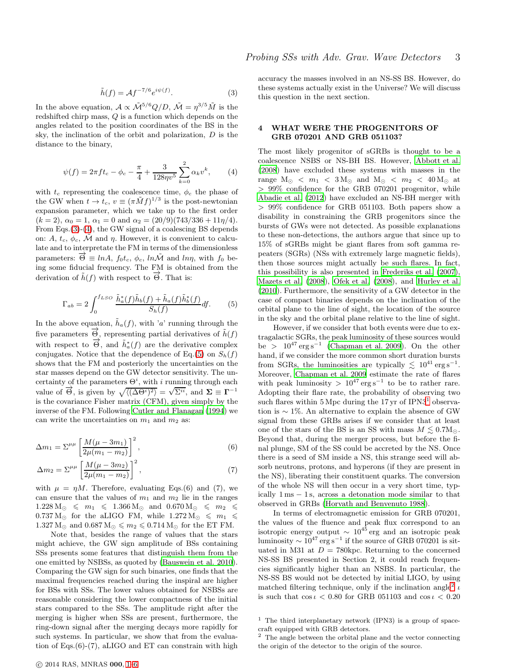<span id="page-2-0"></span>
$$
\tilde{h}(f) = \mathcal{A}f^{-7/6}e^{i\psi(f)}.
$$
\n(3)

In the above equation,  $A \propto \tilde{\mathcal{M}}^{5/6} Q/D$ ,  $\tilde{\mathcal{M}} = \eta^{3/5} \tilde{M}$  is the redshifted chirp mass, Q is a function which depends on the angles related to the position coordinates of the BS in the sky, the inclination of the orbit and polarization, D is the distance to the binary,

<span id="page-2-1"></span>
$$
\psi(f) = 2\pi f t_c - \phi_c - \frac{\pi}{4} + \frac{3}{128\eta v^5} \sum_{k=0}^{2} \alpha_k v^k, \qquad (4)
$$

with  $t_c$  representing the coalescence time,  $\phi_c$  the phase of the GW when  $t \to t_c$ ,  $v \equiv (\pi \tilde{M} f)^{1/3}$  is the post-newtonian expansion parameter, which we take up to the first order  $(k = 2), \alpha_0 = 1, \alpha_1 = 0 \text{ and } \alpha_2 = (20/9)(743/336 + 11\eta/4).$ From Eqs.[\(3\)](#page-2-0)-[\(4\)](#page-2-1), the GW signal of a coalescing BS depends on: A,  $t_c$ ,  $\phi_c$ , M and  $\eta$ . However, it is convenient to calculate and to interpretate the FM in terms of the dimensionless parameters:  $\vec{\Theta} \equiv lnA$ ,  $f_0t_c$ ,  $\phi_c$ ,  $ln\tilde{M}$  and  $ln\eta$ , with  $f_0$  being some fiducial frequency. The FM is obtained from the derivation of  $\tilde{h}(f)$  with respect to  $\overrightarrow{\Theta}$ . That is:

<span id="page-2-2"></span>
$$
\Gamma_{ab} = 2 \int_0^{f_{LSO}} \frac{\tilde{h}_a^*(f)\tilde{h}_b(f) + \tilde{h}_a(f)\tilde{h}_b^*(f)}{S_h(f)} df.
$$
 (5)

In the above equation,  $\tilde{h}_a(f)$ , with 'a' running through the five parameters  $\vec{\Theta}$ , representing partial derivatives of  $\tilde{h}(f)$ with respect to  $\vec{\Theta}$ , and  $\tilde{h}^*_{a}(f)$  are the derivative complex conjugates. Notice that the dependence of Eq.[\(5\)](#page-2-2) on  $S_h(f)$ shows that the FM and posteriorly the uncertainties on the star masses depend on the GW detector sensitivity. The uncertainty of the parameters  $\Theta^i$ , with i running through each value of  $\vec{\Theta}$ , is given by  $\sqrt{\langle (\Delta \Theta^i)^2 \rangle} = \sqrt{\Sigma^{ii}}$ , and  $\Sigma \equiv \Gamma^{-1}$ is the covariance Fisher matrix (CFM), given simply by the inverse of the FM. Following Cutler and Flanagan (1994) we can write the uncertainties on  $m_1$  and  $m_2$  as:

$$
\Delta m_1 = \Sigma^{\mu \mu} \left[ \frac{M(\mu - 3m_1)}{2\mu(m_1 - m_2)} \right]^2, \tag{6}
$$

$$
\Delta m_2 = \Sigma^{\mu\mu} \left[ \frac{M(\mu - 3m_2)}{2\mu(m_1 - m_2)} \right]^2, \tag{7}
$$

with  $\mu = \eta M$ . Therefore, evaluating Eqs.(6) and (7), we can ensure that the values of  $m_1$  and  $m_2$  lie in the ranges  $1.228 M_{\odot} \leqslant m_1 \leqslant 1.366 M_{\odot} \text{ and } 0.670 M_{\odot} \leqslant m_2 \leqslant$  $0.737 M_{\odot}$  for the aLIGO FM, while  $1.272 M_{\odot} \leq m_1 \leq$  $1.327 M_{\odot}$  and  $0.687 M_{\odot} \leqslant m_2 \leqslant 0.714 M_{\odot}$  for the ET FM.

Note that, besides the range of values that the stars might achieve, the GW sign amplitude of BSs containing SSs presents some features that distinguish them from the one emitted by NSBSs, as quoted by (Bauswein et al. 2010). Comparing the GW sign for such binaries, one finds that the maximal frequencies reached during the inspiral are higher for BSs with SSs. The lower values obtained for NSBSs are reasonable considering the lower compactness of the initial stars compared to the SSs. The amplitude right after the merging is higher when SSs are present, furthermore, the ring-down signal after the merging decays more rapidly for such systems. In particular, we show that from the evaluation of Eqs.(6)-(7), aLIGO and ET can constrain with high accuracy the masses involved in an NS-SS BS. However, do these systems actually exist in the Universe? We will discuss this question in the next section.

#### 4 WHAT WERE THE PROGENITORS OF GRB 070201 AND GRB 051103?

The most likely progenitor of sGRBs is thought to be a coalescence NSBS or NS-BH BS. However, Abbott et al. (2008) have excluded these systems with masses in the range  $M_{\odot} < m_1 < 3 M_{\odot}$  and  $M_{\odot} < m_2 < 40 M_{\odot}$  at > 99% confidence for the GRB 070201 progenitor, while Abadie et al. (2012) have excluded an NS-BH merger with > 99% confidence for GRB 051103. Both papers show a disability in constraining the GRB progenitors since the bursts of GWs were not detected. As possible explanations to these non-detections, the authors argue that since up to 15% of sGRBs might be giant flares from soft gamma repeaters (SGRs) (NSs with extremely large magnetic fields), then those sources might actually be such flares. In fact, this possibility is also presented in Frederiks et al. (2007), Mazets et al. (2008), Ofek et al. (2008), and Hurley et al. (2010). Furthermore, the sensitivity of a GW detector in the case of compact binaries depends on the inclination of the orbital plane to the line of sight, the location of the source in the sky and the orbital plane relative to the line of sight.

However, if we consider that both events were due to extragalactic SGRs, the peak luminosity of these sources would be >  $10^{47}$  erg s<sup>-1</sup> (Chapman et al. 2009). On the other hand, if we consider the more common short duration bursts from SGRs, the luminosities are typically  $\lesssim 10^{41} \,\text{erg}\,\text{s}^{-1}$ . Moreover, Chapman et al. 2009 estimate the rate of flares with peak luminosity >  $10^{47} \text{ erg s}^{-1}$  to be to rather rare. Adopting their flare rate, the probability of observing two such flares within  $5 \text{ Mpc}$  during the  $17 \text{ yr}$  $17 \text{ yr}$  of IPN3<sup>1</sup> observation is ∼ 1%. An alternative to explain the absence of GW signal from these GRBs arises if we consider that at least one of the stars of the BS is an SS with mass  $M \leq 0.7M_{\odot}$ . Beyond that, during the merger process, but before the final plunge, SM of the SS could be accreted by the NS. Once there is a seed of SM inside a NS, this strange seed will absorb neutrons, protons, and hyperons (if they are present in the NS), liberating their constituent quarks. The conversion of the whole NS will then occur in a very short time, typically 1 ms − 1 s, across a detonation mode similar to that observed in GRBs (Horvath and Benvenuto 1988).

In terms of electromagnetic emission for GRB 070201, the values of the fluence and peak flux correspond to an isotropic energy output  $\sim 10^{45}$  erg and an isotropic peak luminosity  $\sim 10^{47} \text{ erg s}^{-1}$  if the source of GRB 070201 is situated in M31 at  $D = 780$ kpc. Returning to the concerned NS-SS BS presented in Section 2, it could reach frequencies significantly higher than an NSBS. In particular, the NS-SS BS would not be detected by initial LIGO, by using matched filtering technique, only if the inclination angle<sup>[2](#page-2-4)</sup>  $\iota$ is such that  $\cos \iota < 0.80$  for GRB 051103 and  $\cos \iota < 0.20$ 

<span id="page-2-3"></span><sup>&</sup>lt;sup>1</sup> The third interplanetary network (IPN3) is a group of spacecraft equipped with GRB detectors.

<span id="page-2-4"></span><sup>2</sup> The angle between the orbital plane and the vector connecting the origin of the detector to the origin of the source.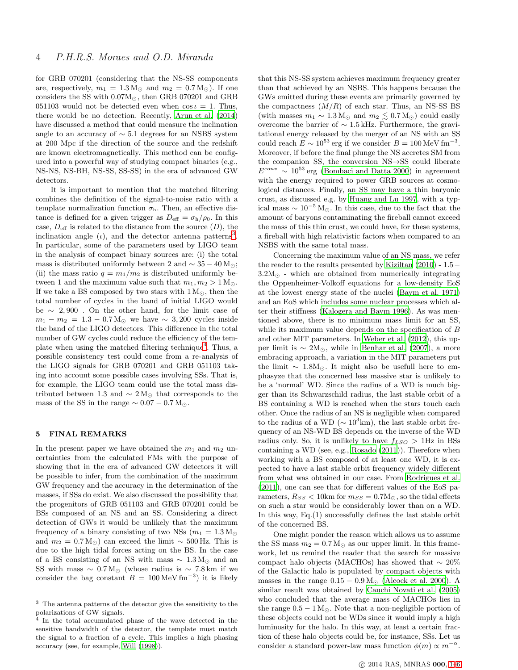for GRB 070201 (considering that the NS-SS components are, respectively,  $m_1 = 1.3 M_{\odot}$  and  $m_2 = 0.7 M_{\odot}$ ). If one considers the SS with 0.07M⊙, then GRB 070201 and GRB 051103 would not be detected even when  $\cos t = 1$ . Thus, there would be no detection. Recently, Arun et al. (2014) have discussed a method that could measure the inclination angle to an accuracy of ∼ 5.1 degrees for an NSBS system at 200 Mpc if the direction of the source and the redshift are known electromagnetically. This method can be configured into a powerful way of studying compact binaries (e.g., NS-NS, NS-BH, NS-SS, SS-SS) in the era of advanced GW detectors.

It is important to mention that the matched filtering combines the definition of the signal-to-noise ratio with a template normalization function  $\sigma_{h}$ . Then, an effective distance is defined for a given trigger as  $D_{\text{eff}} = \sigma_{\text{h}}/\rho_0$ . In this case,  $D_{\text{eff}}$  is related to the distance from the source  $(D)$ , the inclination angle  $(\iota)$ , and the detector antenna patterns<sup>[3](#page-3-0)</sup>. In particular, some of the parameters used by LIGO team in the analysis of compact binary sources are: (i) the total mass is distributed uniformly between 2 and  $\sim 35 - 40 \,\mathrm{M}_\odot$ ; (ii) the mass ratio  $q = m_1/m_2$  is distributed uniformly between 1 and the maximum value such that  $m_1, m_2 > 1$  M<sub>☉</sub>. If we take a BS composed by two stars with  $1 M_{\odot}$ , then the total number of cycles in the band of initial LIGO would be ∼ 2, 900 . On the other hand, for the limit case of  $m_1 - m_2 = 1.3 - 0.7 M_{\odot}$  we have ~ 3,200 cycles inside the band of the LIGO detectors. This difference in the total number of GW cycles could reduce the efficiency of the tem-plate when using the matched filtering technique<sup>[4](#page-3-1)</sup>. Thus, a possible consistency test could come from a re-analysis of the LIGO signals for GRB 070201 and GRB 051103 taking into account some possible cases involving SSs. That is, for example, the LIGO team could use the total mass distributed between 1.3 and  $\sim 2 M_{\odot}$  that corresponds to the mass of the SS in the range  $\sim 0.07 - 0.7$  M<sub>☉</sub>.

#### 5 FINAL REMARKS

In the present paper we have obtained the  $m_1$  and  $m_2$  uncertainties from the calculated FMs with the purpose of showing that in the era of advanced GW detectors it will be possible to infer, from the combination of the maximum GW frequency and the accuracy in the determination of the masses, if SSs do exist. We also discussed the possibility that the progenitors of GRB 051103 and GRB 070201 could be BSs composed of an NS and an SS. Considering a direct detection of GWs it would be unlikely that the maximum frequency of a binary consisting of two NSs  $(m_1 = 1.3 M_{\odot})$ and  $m_2 = 0.7 M_{\odot}$ ) can exceed the limit ~ 500 Hz. This is due to the high tidal forces acting on the BS. In the case of a BS consisting of an NS with mass  $\sim 1.3 M_{\odot}$  and an SS with mass  $\sim 0.7 M_{\odot}$  (whose radius is  $\sim 7.8$  km if we consider the bag constant  $B = 100 \,\text{MeV fm}^{-3}$  it is likely

that this NS-SS system achieves maximum frequency greater than that achieved by an NSBS. This happens because the GWs emitted during these events are primarily governed by the compactness  $(M/R)$  of each star. Thus, an NS-SS BS (with masses  $m_1 \sim 1.3 \,\mathrm{M_{\odot}}$  and  $m_2 \lesssim 0.7 \,\mathrm{M_{\odot}}$ ) could easily overcome the barrier of ∼ 1.5 kHz. Furthermore, the gravitational energy released by the merger of an NS with an SS could reach  $E \sim 10^{53}$  erg if we consider  $B = 100 \,\text{MeV fm}^{-3}$ . Moreover, if before the final plunge the NS accretes SM from the companion SS, the conversion NS→SS could liberate  $E^{conv} \sim 10^{53}$  erg (Bombaci and Datta 2000) in agreement with the energy required to power GRB sources at cosmological distances. Finally, an SS may have a thin baryonic crust, as discussed e.g. by [Huang and Lu 1997,](#page-4-0) with a typical mass  $\sim 10^{-5}$  M<sub>☉</sub>. In this case, due to the fact that the amount of baryons contaminating the fireball cannot exceed the mass of this thin crust, we could have, for these systems, a fireball with high relativistic factors when compared to an NSBS with the same total mass.

Concerning the maximum value of an NS mass, we refer the reader to the results presented by Kiziltan (2010) - 1.5−  $3.2M_{\odot}$  - which are obtained from numerically integrating the Oppenheimer-Volkoff equations for a low-density EoS at the lowest energy state of the nuclei (Baym et al. 1971) and an EoS which includes some nuclear processes which alter their stiffness (Kalogera and Baym 1996). As was mentioned above, there is no minimum mass limit for an SS, while its maximum value depends on the specification of B and other MIT parameters. In Weber et al. (2012), this upper limit is  $\sim 2M_{\odot}$ , while in Benhar et al. (2007), a more embracing approach, a variation in the MIT parameters put the limit ∼ 1.8M⊙. It might also be usefull here to emphasyze that the concerned less massive star is unlikely to be a 'normal' WD. Since the radius of a WD is much bigger than its Schwarzschild radius, the last stable orbit of a BS containing a WD is reached when the stars touch each other. Once the radius of an NS is negligible when compared to the radius of a WD ( $\sim 10^3$ km), the last stable orbit frequency of an NS-WD BS depends on the inverse of the WD radius only. So, it is unlikely to have  $f_{LSO} > 1$ Hz in BSs containing a WD (see, e.g., Rosado (2011)). Therefore when working with a BS composed of at least one WD, it is expected to have a last stable orbit frequency widely different from what was obtained in our case. From Rodrigues et al. (2011), one can see that for different values of the EoS parameters,  $R_{SS}$  < 10km for  $m_{SS} = 0.7 M_{\odot}$ , so the tidal effects on such a star would be considerably lower than on a WD. In this way, Eq.(1) successfully defines the last stable orbit of the concerned BS.

One might ponder the reason which allows us to assume the SS mass  $m_2 = 0.7$  M<sub>☉</sub> as our upper limit. In this framework, let us remind the reader that the search for massive compact halo objects (MACHOs) has showed that ∼ 20% of the Galactic halo is populated by compact objects with masses in the range  $0.15 - 0.9 M_{\odot}$  (Alcock et al. 2000). A similar result was obtained by Cauchi Novati et al. (2005) who concluded that the average mass of MACHOs lies in the range  $0.5 - 1 M_{\odot}$ . Note that a non-negligible portion of these objects could not be WDs since it would imply a high luminosity for the halo. In this way, at least a certain fraction of these halo objects could be, for instance, SSs. Let us consider a standard power-law mass function  $\phi(m) \propto m^{-\alpha}$ .

<span id="page-3-0"></span><sup>3</sup> The antenna patterns of the detector give the sensitivity to the polarizations of GW signals.

<span id="page-3-1"></span>In the total accumulated phase of the wave detected in the sensitive bandwidth of the detector, the template must match the signal to a fraction of a cycle. This implies a high phasing accuracy (see, for example, Will (1998)).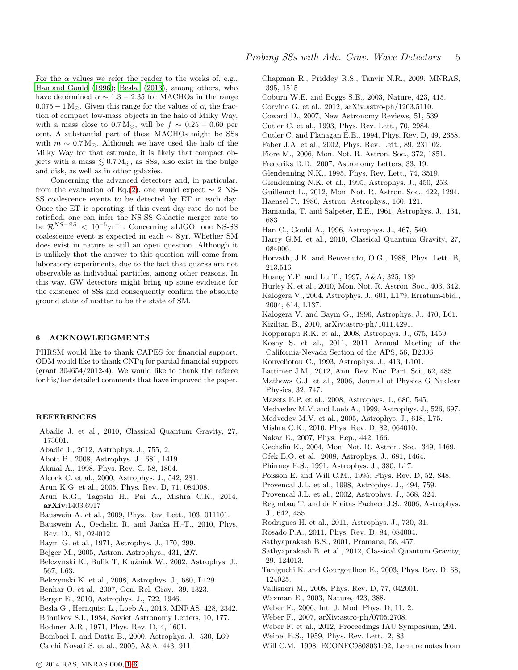For the  $\alpha$  values we refer the reader to the works of, e.g., Han and Gould (1996); Besla (2013), among others, who have determined  $\alpha \sim 1.3 - 2.35$  for MACHOs in the range  $0.075 - 1 M_{\odot}$ . Given this range for the values of  $\alpha$ , the fraction of compact low-mass objects in the halo of Milky Way, with a mass close to  $0.7 M_{\odot}$ , will be  $f \sim 0.25 - 0.60$  per cent. A substantial part of these MACHOs might be SSs with  $m \sim 0.7 M_{\odot}$ . Although we have used the halo of the Milky Way for that estimate, it is likely that compact objects with a mass  $\leq 0.7 M_{\odot}$ , as SSs, also exist in the bulge and disk, as well as in other galaxies.

Concerning the advanced detectors and, in particular, from the evaluation of Eq.[\(2\)](#page-1-1), one would expect  $\sim 2$  NS-SS coalescence events to be detected by ET in each day. Once the ET is operating, if this event day rate do not be satisfied, one can infer the NS-SS Galactic merger rate to be  $\mathcal{R}^{NS-SS}$  <  $10^{-5}\text{yr}^{-1}$ . Concerning aLIGO, one NS-SS coalescence event is expected in each ∼ 8 yr. Whether SM does exist in nature is still an open question. Although it is unlikely that the answer to this question will come from laboratory experiments, due to the fact that quarks are not observable as individual particles, among other reasons. In this way, GW detectors might bring up some evidence for the existence of SSs and consequently confirm the absolute ground state of matter to be the state of SM.

#### 6 ACKNOWLEDGMENTS

PHRSM would like to thank CAPES for financial support. ODM would like to thank CNPq for partial financial support (grant 304654/2012-4). We would like to thank the referee for his/her detailed comments that have improved the paper.

#### REFERENCES

- Abadie J. et al., 2010, Classical Quantum Gravity, 27, 173001.
- Abadie J., 2012, Astrophys. J., 755, 2.
- Abott B., 2008, Astrophys. J., 681, 1419.
- Akmal A., 1998, Phys. Rev. C, 58, 1804.
- Alcock C. et al., 2000, Astrophys. J., 542, 281.
- Arun K.G. et al., 2005, Phys. Rev. D, 71, 084008.
- Arun K.G., Tagoshi H., Pai A., Mishra C.K., 2014, arXiv:1403.6917
- Bauswein A. et al., 2009, Phys. Rev. Lett., 103, 011101.
- Bauswein A., Oechslin R. and Janka H.-T., 2010, Phys. Rev. D., 81, 024012
- Baym G. et al., 1971, Astrophys. J., 170, 299.
- Bejger M., 2005, Astron. Astrophys., 431, 297.
- Belczynski K., Bulik T, Kluźniak W., 2002, Astrophys. J., 567, L63.
- Belczynski K. et al., 2008, Astrophys. J., 680, L129.
- Benhar O. et al., 2007, Gen. Rel. Grav., 39, 1323.
- Berger E., 2010, Astrophys. J., 722, 1946.
- Besla G., Hernquist L., Loeb A., 2013, MNRAS, 428, 2342.
- Blinnikov S.I., 1984, Soviet Astronomy Letters, 10, 177.
- Bodmer A.R., 1971, Phys. Rev. D, 4, 1601.
- Bombaci I. and Datta B., 2000, Astrophys. J., 530, L69
- Calchi Novati S. et al., 2005, A&A, 443, 911

Chapman R., Priddey R.S., Tanvir N.R., 2009, MNRAS, 395, 1515

- Coburn W.E. and Boggs S.E., 2003, Nature, 423, 415.
- Corvino G. et al., 2012, arXiv:astro-ph/1203.5110.
- Coward D., 2007, New Astronomy Reviews, 51, 539.
- Cutler C. et al., 1993, Phys. Rev. Lett., 70, 2984.
- Cutler C. and Flanagan E.E., 1994, Phys. Rev. D, 49, 2658. ´
- Faber J.A. et al., 2002, Phys. Rev. Lett., 89, 231102.
- Fiore M., 2006, Mon. Not. R. Astron. Soc., 372, 1851.
- Frederiks D.D., 2007, Astronomy Letters, 33, 19.
- Glendenning N.K., 1995, Phys. Rev. Lett., 74, 3519.
- Glendenning N.K. et al., 1995, Astrophys. J., 450, 253.
- Guillemot L., 2012, Mon. Not. R. Astron. Soc., 422, 1294.
- Haensel P., 1986, Astron. Astrophys., 160, 121.
- Hamanda, T. and Salpeter, E.E., 1961, Astrophys. J., 134, 683.
- Han C., Gould A., 1996, Astrophys. J., 467, 540.
- Harry G.M. et al., 2010, Classical Quantum Gravity, 27, 084006.
- Horvath, J.E. and Benvenuto, O.G., 1988, Phys. Lett. B, 213,516
- <span id="page-4-0"></span>Huang Y.F. and Lu T., 1997, A&A, 325, 189
- Hurley K. et al., 2010, Mon. Not. R. Astron. Soc., 403, 342.
- Kalogera V., 2004, Astrophys. J., 601, L179. Erratum-ibid., 2004, 614, L137.
- Kalogera V. and Baym G., 1996, Astrophys. J., 470, L61. Kiziltan B., 2010, arXiv:astro-ph/1011.4291.
- Kopparapu R.K. et al., 2008, Astrophys. J., 675, 1459.
- Koshy S. et al., 2011, 2011 Annual Meeting of the California-Nevada Section of the APS, 56, B2006.
- Kouveliotou C., 1993, Astrophys. J., 413, L101.
- Lattimer J.M., 2012, Ann. Rev. Nuc. Part. Sci., 62, 485.
- Mathews G.J. et al., 2006, Journal of Physics G Nuclear Physics, 32, 747.
- Mazets E.P. et al., 2008, Astrophys. J., 680, 545.
- Medvedev M.V. and Loeb A., 1999, Astrophys. J., 526, 697.
- Medvedev M.V. et al., 2005, Astrophys. J., 618, L75.
- Mishra C.K., 2010, Phys. Rev. D, 82, 064010.
- Nakar E., 2007, Phys. Rep., 442, 166.
- Oechslin K., 2004, Mon. Not. R. Astron. Soc., 349, 1469.
- Ofek E.O. et al., 2008, Astrophys. J., 681, 1464.
- Phinney E.S., 1991, Astrophys. J., 380, L17.
- Poisson E. and Will C.M., 1995, Phys. Rev. D, 52, 848.
- Provencal J.L. et al., 1998, Astrophys. J., 494, 759.
- Provencal J.L. et al., 2002, Astrophys. J., 568, 324.
- Regimbau T. and de Freitas Pacheco J.S., 2006, Astrophys. J., 642, 455.
- Rodrigues H. et al., 2011, Astrophys. J., 730, 31.
- Rosado P.A., 2011, Phys. Rev. D, 84, 084004.
- Sathyaprakash B.S., 2001, Pramana, 56, 457.
- Sathyaprakash B. et al., 2012, Classical Quantum Gravity, 29, 124013.
- Taniguchi K. and Gourgoulhon E., 2003, Phys. Rev. D, 68, 124025.
- Vallisneri M., 2008, Phys. Rev. D, 77, 042001.
- Waxman E., 2003, Nature, 423, 388.
- Weber F., 2006, Int. J. Mod. Phys. D, 11, 2.
- Weber F., 2007, arXiv:astro-ph/0705.2708.
- Weber F. et al., 2012, Proceedings IAU Symposium, 291.
- Weibel E.S., 1959, Phys. Rev. Lett., 2, 83.
- Will C.M., 1998, ECONFC9808031:02, Lecture notes from